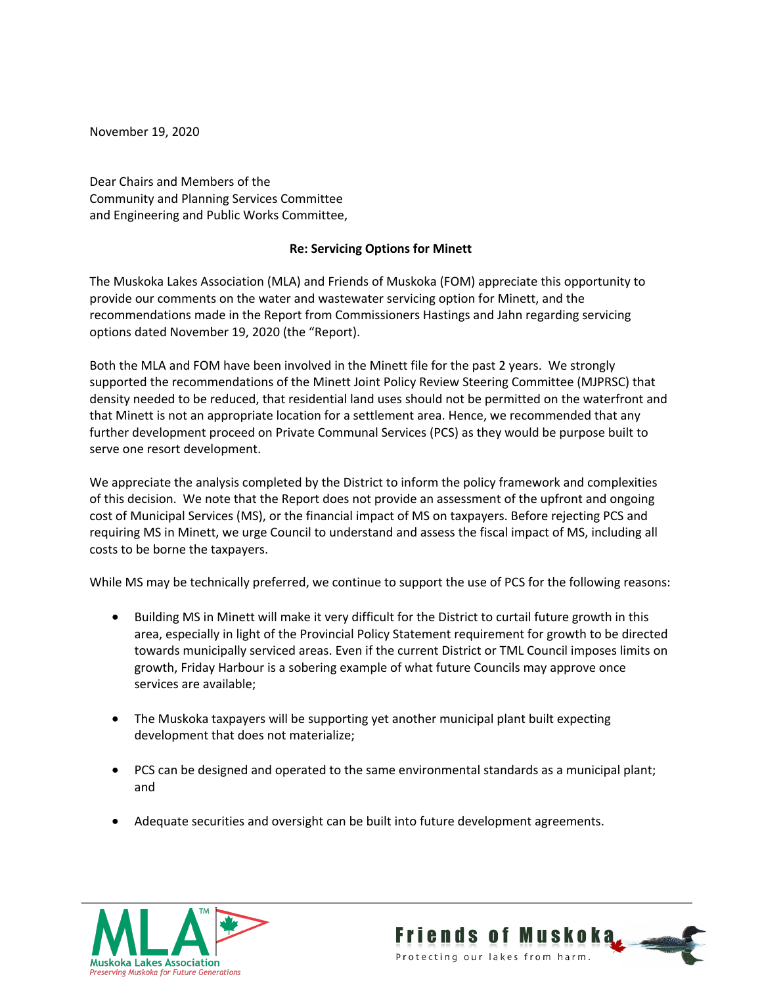November 19, 2020

Dear Chairs and Members of the Community and Planning Services Committee and Engineering and Public Works Committee,

## **Re: Servicing Options for Minett**

The Muskoka Lakes Association (MLA) and Friends of Muskoka (FOM) appreciate this opportunity to provide our comments on the water and wastewater servicing option for Minett, and the recommendations made in the Report from Commissioners Hastings and Jahn regarding servicing options dated November 19, 2020 (the "Report).

Both the MLA and FOM have been involved in the Minett file for the past 2 years. We strongly supported the recommendations of the Minett Joint Policy Review Steering Committee (MJPRSC) that density needed to be reduced, that residential land uses should not be permitted on the waterfront and that Minett is not an appropriate location for a settlement area. Hence, we recommended that any further development proceed on Private Communal Services (PCS) as they would be purpose built to serve one resort development.

We appreciate the analysis completed by the District to inform the policy framework and complexities of this decision. We note that the Report does not provide an assessment of the upfront and ongoing cost of Municipal Services (MS), or the financial impact of MS on taxpayers. Before rejecting PCS and requiring MS in Minett, we urge Council to understand and assess the fiscal impact of MS, including all costs to be borne the taxpayers.

While MS may be technically preferred, we continue to support the use of PCS for the following reasons:

- Building MS in Minett will make it very difficult for the District to curtail future growth in this area, especially in light of the Provincial Policy Statement requirement for growth to be directed towards municipally serviced areas. Even if the current District or TML Council imposes limits on growth, Friday Harbour is a sobering example of what future Councils may approve once services are available;
- The Muskoka taxpayers will be supporting yet another municipal plant built expecting development that does not materialize;
- PCS can be designed and operated to the same environmental standards as a municipal plant; and
- Adequate securities and oversight can be built into future development agreements.



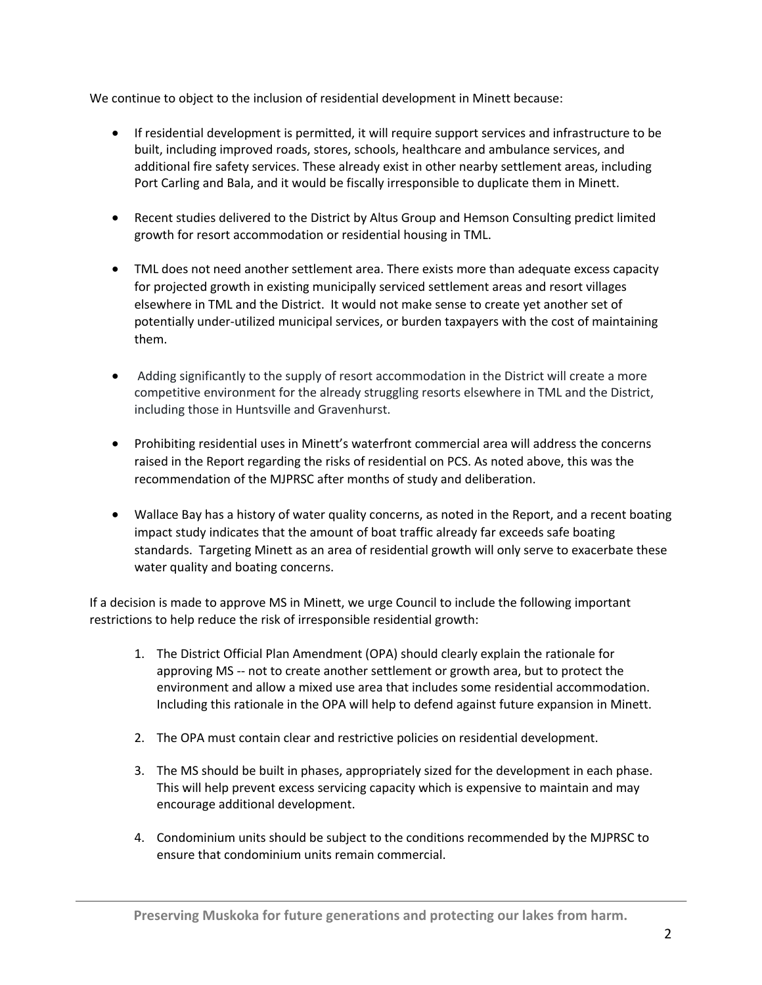We continue to object to the inclusion of residential development in Minett because:

- If residential development is permitted, it will require support services and infrastructure to be built, including improved roads, stores, schools, healthcare and ambulance services, and additional fire safety services. These already exist in other nearby settlement areas, including Port Carling and Bala, and it would be fiscally irresponsible to duplicate them in Minett.
- Recent studies delivered to the District by Altus Group and Hemson Consulting predict limited growth for resort accommodation or residential housing in TML.
- TML does not need another settlement area. There exists more than adequate excess capacity for projected growth in existing municipally serviced settlement areas and resort villages elsewhere in TML and the District. It would not make sense to create yet another set of potentially under-utilized municipal services, or burden taxpayers with the cost of maintaining them.
- Adding significantly to the supply of resort accommodation in the District will create a more competitive environment for the already struggling resorts elsewhere in TML and the District, including those in Huntsville and Gravenhurst.
- Prohibiting residential uses in Minett's waterfront commercial area will address the concerns raised in the Report regarding the risks of residential on PCS. As noted above, this was the recommendation of the MJPRSC after months of study and deliberation.
- Wallace Bay has a history of water quality concerns, as noted in the Report, and a recent boating impact study indicates that the amount of boat traffic already far exceeds safe boating standards. Targeting Minett as an area of residential growth will only serve to exacerbate these water quality and boating concerns.

If a decision is made to approve MS in Minett, we urge Council to include the following important restrictions to help reduce the risk of irresponsible residential growth:

- 1. The District Official Plan Amendment (OPA) should clearly explain the rationale for approving MS -- not to create another settlement or growth area, but to protect the environment and allow a mixed use area that includes some residential accommodation. Including this rationale in the OPA will help to defend against future expansion in Minett.
- 2. The OPA must contain clear and restrictive policies on residential development.
- 3. The MS should be built in phases, appropriately sized for the development in each phase. This will help prevent excess servicing capacity which is expensive to maintain and may encourage additional development.
- 4. Condominium units should be subject to the conditions recommended by the MJPRSC to ensure that condominium units remain commercial.